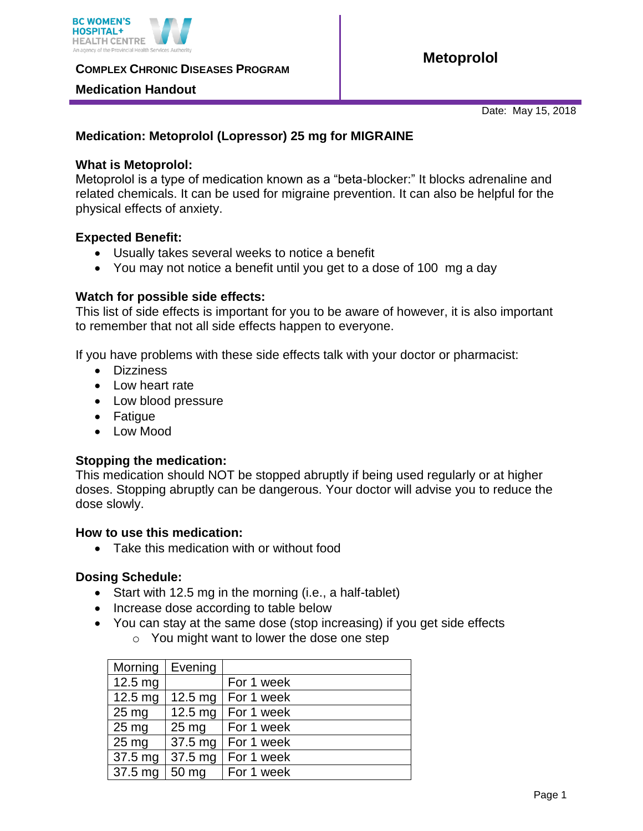

**COMPLEX CHRONIC DISEASES PROGRAM** 

## **Medication Handout**

Date: May 15, 2018

# **Medication: Metoprolol (Lopressor) 25 mg for MIGRAINE**

## **What is Metoprolol:**

Metoprolol is a type of medication known as a "beta-blocker:" It blocks adrenaline and related chemicals. It can be used for migraine prevention. It can also be helpful for the physical effects of anxiety.

## **Expected Benefit:**

- Usually takes several weeks to notice a benefit
- You may not notice a benefit until you get to a dose of 100 mg a day

## **Watch for possible side effects:**

This list of side effects is important for you to be aware of however, it is also important to remember that not all side effects happen to everyone.

If you have problems with these side effects talk with your doctor or pharmacist:

- Dizziness
- Low heart rate
- Low blood pressure
- Fatigue
- Low Mood

## **Stopping the medication:**

This medication should NOT be stopped abruptly if being used regularly or at higher doses. Stopping abruptly can be dangerous. Your doctor will advise you to reduce the dose slowly.

### **How to use this medication:**

Take this medication with or without food

### **Dosing Schedule:**

- Start with 12.5 mg in the morning (i.e., a half-tablet)
- Increase dose according to table below
- You can stay at the same dose (stop increasing) if you get side effects o You might want to lower the dose one step

| Morning           | Evening         |                      |
|-------------------|-----------------|----------------------|
| 12.5 mg           |                 | For 1 week           |
| $12.5 \text{ mg}$ |                 | 12.5 mg   For 1 week |
| $25 \text{ mg}$   |                 | 12.5 mg   For 1 week |
| $25 \text{ mg}$   | $25 \text{ mg}$ | For 1 week           |
| $25 \text{ mg}$   |                 | 37.5 mg   For 1 week |
| $37.5 \text{ mg}$ |                 | 37.5 mg   For 1 week |
| 37.5 mg           | 50 mg           | For 1 week           |